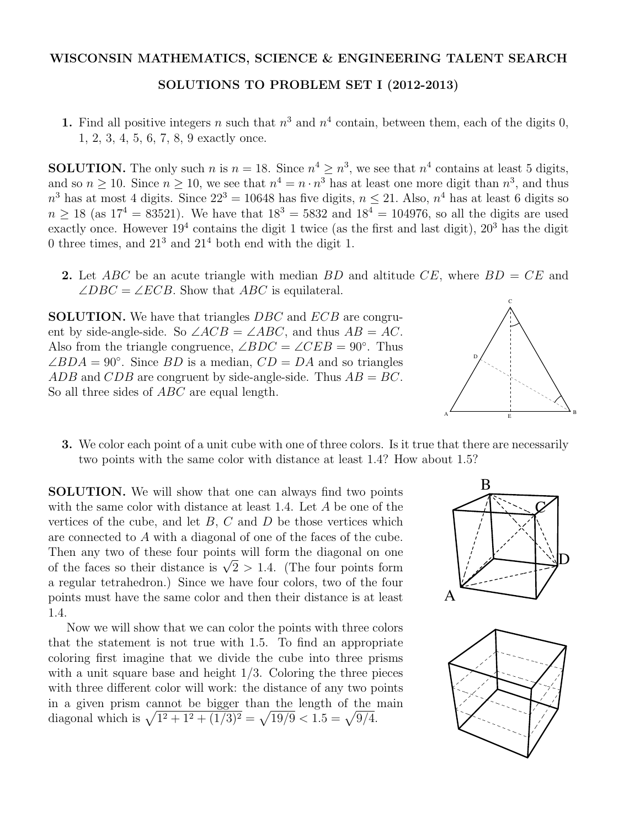## WISCONSIN MATHEMATICS, SCIENCE & ENGINEERING TALENT SEARCH

SOLUTIONS TO PROBLEM SET I (2012-2013)

1. Find all positive integers *n* such that  $n^3$  and  $n^4$  contain, between them, each of the digits 0, 1, 2, 3, 4, 5, 6, 7, 8, 9 exactly once.

**SOLUTION.** The only such *n* is  $n = 18$ . Since  $n^4 \ge n^3$ , we see that  $n^4$  contains at least 5 digits, and so  $n \ge 10$ . Since  $n \ge 10$ , we see that  $n^4 = n \cdot n^3$  has at least one more digit than  $n^3$ , and thus  $n^3$  has at most 4 digits. Since  $22^3 = 10648$  has five digits,  $n \le 21$ . Also,  $n^4$  has at least 6 digits so  $n > 18$  (as  $17^4 = 83521$ ). We have that  $18^3 = 5832$  and  $18^4 = 104976$ , so all the digits are used exactly once. However  $19<sup>4</sup>$  contains the digit 1 twice (as the first and last digit),  $20<sup>3</sup>$  has the digit 0 three times, and  $21^3$  and  $21^4$  both end with the digit 1.

2. Let *ABC* be an acute triangle with median *BD* and altitude *CE*, where *BD* = *CE* and  $\angle DBC = \angle ECB$ . Show that *ABC* is equilateral.

SOLUTION. We have that triangles *DBC* and *ECB* are congruent by side-angle-side. So  $\angle ACB = \angle ABC$ , and thus  $AB = AC$ . Also from the triangle congruence,  $\angle BDC = \angle CEB = 90^\circ$ . Thus  $\angle BDA = 90^\circ$ . Since *BD* is a median, *CD* = *DA* and so triangles *ADB* and *CDB* are congruent by side-angle-side. Thus *AB* = *BC*. So all three sides of *ABC* are equal length.



3. We color each point of a unit cube with one of three colors. Is it true that there are necessarily two points with the same color with distance at least 1.4? How about 1.5?

SOLUTION. We will show that one can always find two points with the same color with distance at least 1.4. Let *A* be one of the vertices of the cube, and let *B*, *C* and *D* be those vertices which are connected to *A* with a diagonal of one of the faces of the cube. Then any two of these four points will form the diagonal on one of the faces so their distance is  $\sqrt{2}$  > 1.4. (The four points form a regular tetrahedron.) Since we have four colors, two of the four points must have the same color and then their distance is at least 1.4.

Now we will show that we can color the points with three colors that the statement is not true with 1.5. To find an appropriate coloring first imagine that we divide the cube into three prisms with a unit square base and height  $1/3$ . Coloring the three pieces with three different color will work: the distance of any two points in a given prism cannot be bigger than the length of the main diagonal which is  $\sqrt{1^2 + 1^2 + (1/3)^2} = \sqrt{19/9} < 1.5 = \sqrt{9/4}$ .